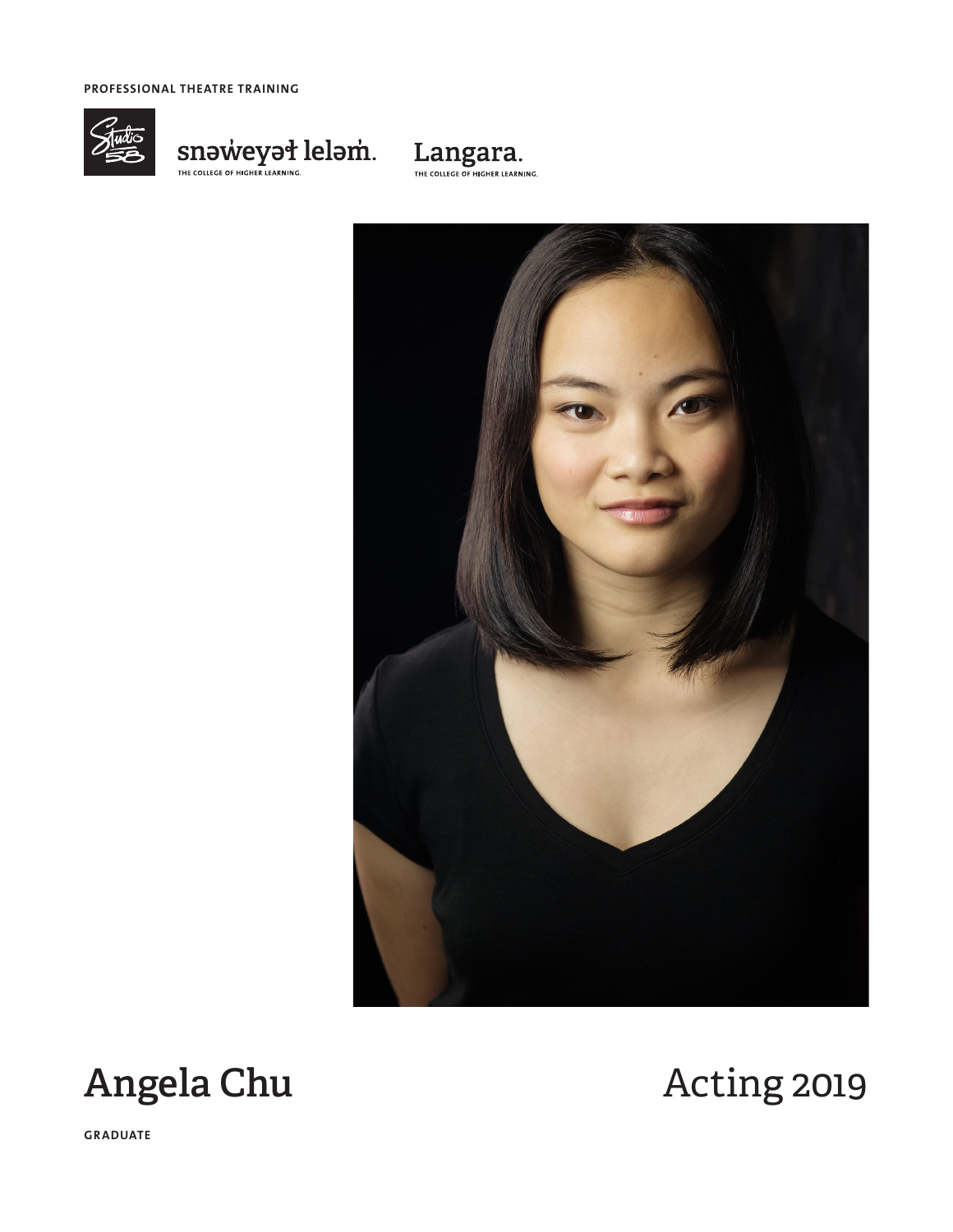**PROFESSIONAL THEATRE TRAINING**



 $\underset{\tiny{\text{THE COLLEG OF HICHER LEARNING.}}{\text{THE COLLEG OF HICHER LEARNING.}}} {\text{SINOWECYE} \setminus \text{SINB} \setminus \text{SINB} \setminus \text{SINB} \setminus \text{SINB} \setminus \text{SINB} \setminus \text{SINB} \setminus \text{SINB} \setminus \text{SINB} \setminus \text{SINB} \setminus \text{SINB} \setminus \text{SINB} \setminus \text{SINB} \setminus \text{SINB} \setminus \text{SINB} \setminus \text{SINB} \setminus \text{SINB} \setminus \text{SINB} \setminus \text{S$ 







**GRADUATE**